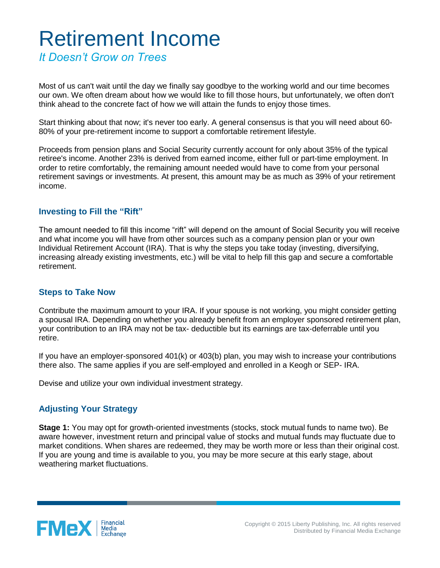## Retirement Income

*It Doesn't Grow on Trees*

Most of us can't wait until the day we finally say goodbye to the working world and our time becomes our own. We often dream about how we would like to fill those hours, but unfortunately, we often don't think ahead to the concrete fact of how we will attain the funds to enjoy those times.

Start thinking about that now; it's never too early. A general consensus is that you will need about 60- 80% of your pre-retirement income to support a comfortable retirement lifestyle.

Proceeds from pension plans and Social Security currently account for only about 35% of the typical retiree's income. Another 23% is derived from earned income, either full or part-time employment. In order to retire comfortably, the remaining amount needed would have to come from your personal retirement savings or investments. At present, this amount may be as much as 39% of your retirement income.

## **Investing to Fill the "Rift"**

The amount needed to fill this income "rift" will depend on the amount of Social Security you will receive and what income you will have from other sources such as a company pension plan or your own Individual Retirement Account (IRA). That is why the steps you take today (investing, diversifying, increasing already existing investments, etc.) will be vital to help fill this gap and secure a comfortable retirement.

## **Steps to Take Now**

Contribute the maximum amount to your IRA. If your spouse is not working, you might consider getting a spousal IRA. Depending on whether you already benefit from an employer sponsored retirement plan, your contribution to an IRA may not be tax- deductible but its earnings are tax-deferrable until you retire.

If you have an employer-sponsored 401(k) or 403(b) plan, you may wish to increase your contributions there also. The same applies if you are self-employed and enrolled in a Keogh or SEP- IRA.

Devise and utilize your own individual investment strategy.

## **Adjusting Your Strategy**

**Stage 1:** You may opt for growth-oriented investments (stocks, stock mutual funds to name two). Be aware however, investment return and principal value of stocks and mutual funds may fluctuate due to market conditions. When shares are redeemed, they may be worth more or less than their original cost. If you are young and time is available to you, you may be more secure at this early stage, about weathering market fluctuations.